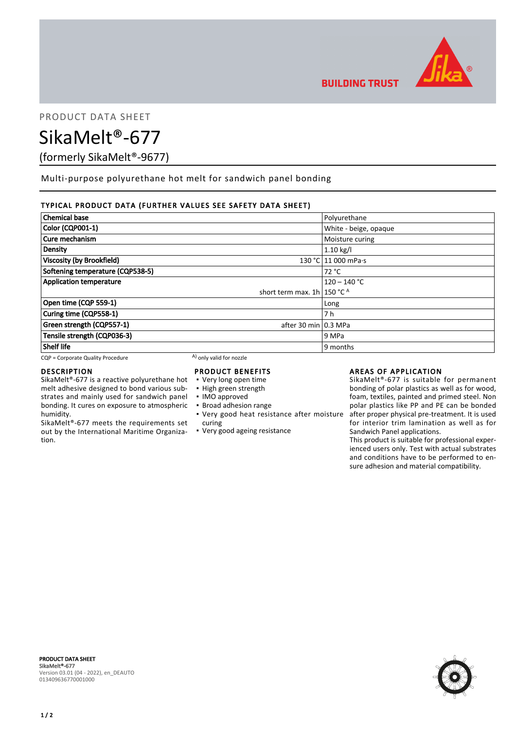

PRODUCT DATA SHEET

SikaMelt®-677

(formerly SikaMelt®-9677)

Multi-purpose polyurethane hot melt for sandwich panel bonding

# TYPICAL PRODUCT DATA (FURTHER VALUES SEE SAFETY DATA SHEET)

| <b>Chemical base</b>                                                                                                                                                                                                                                | Polyurethane          |
|-----------------------------------------------------------------------------------------------------------------------------------------------------------------------------------------------------------------------------------------------------|-----------------------|
| Color (CQP001-1)                                                                                                                                                                                                                                    | White - beige, opaque |
| Cure mechanism<br>Moisture curing                                                                                                                                                                                                                   |                       |
| <b>Density</b>                                                                                                                                                                                                                                      | $1.10 \text{ kg/l}$   |
| <b>Viscosity (by Brookfield)</b>                                                                                                                                                                                                                    | 130 °C 11 000 mPa.s   |
| Softening temperature (CQP538-5)                                                                                                                                                                                                                    | 72 °C                 |
| <b>Application temperature</b>                                                                                                                                                                                                                      | $120 - 140 °C$        |
| short term max. $1h$ 150 °C <sup>A</sup>                                                                                                                                                                                                            |                       |
| Open time (CQP 559-1)                                                                                                                                                                                                                               | Long                  |
| Curing time (CQP558-1)                                                                                                                                                                                                                              | 7 h                   |
| Green strength (CQP557-1)<br>after 30 min 0.3 MPa                                                                                                                                                                                                   |                       |
| Tensile strength (CQP036-3)                                                                                                                                                                                                                         | 9 MPa                 |
| <b>Shelf life</b><br>A Contract Contract Contract Contract Contract Contract Contract Contract Contract Contract Contract Contract Contract Contract Contract Contract Contract Contract Contract Contract Contract Contract Contract Contract Cont | 9 months              |

 $CQP =$  Corporate Quality Procedure  $A)$  only valid for nozzle

## DESCRIPTION

SikaMelt®-677 is a reactive polyurethane hot melt adhesive designed to bond various substrates and mainly used for sandwich panel bonding. It cures on exposure to atmospheric humidity.

SikaMelt®-677 meets the requirements set out by the International Maritime Organization.

## PRODUCT BENEFITS

- Very long open time
- High green strength
- IMO approved
- Broad adhesion range
- Very good heat resistance after moisture curing
- Very good ageing resistance

# AREAS OF APPLICATION

SikaMelt®-677 is suitable for permanent bonding of polar plastics as well as for wood, foam, textiles, painted and primed steel. Non polar plastics like PP and PE can be bonded after proper physical pre-treatment. It is used for interior trim lamination as well as for Sandwich Panel applications.

This product is suitable for professional experienced users only. Test with actual substrates and conditions have to be performed to ensure adhesion and material compatibility.



PRODUCT DATA SHEET SikaMelt®-677 Version 03.01 (04 - 2022), en\_DEAUTO 013409636770001000